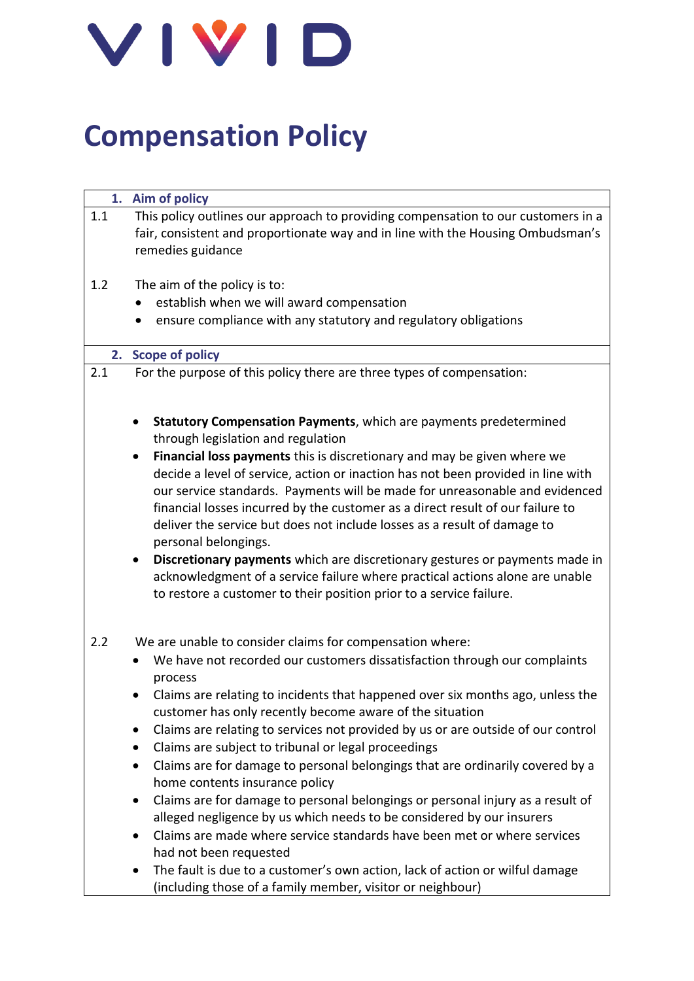

# **Compensation Policy**

|     | 1. Aim of policy                                                                                                                                                                                                                                                                                                                                                                                                                                                                                                                                         |
|-----|----------------------------------------------------------------------------------------------------------------------------------------------------------------------------------------------------------------------------------------------------------------------------------------------------------------------------------------------------------------------------------------------------------------------------------------------------------------------------------------------------------------------------------------------------------|
| 1.1 | This policy outlines our approach to providing compensation to our customers in a<br>fair, consistent and proportionate way and in line with the Housing Ombudsman's<br>remedies guidance                                                                                                                                                                                                                                                                                                                                                                |
| 1.2 | The aim of the policy is to:                                                                                                                                                                                                                                                                                                                                                                                                                                                                                                                             |
|     | establish when we will award compensation                                                                                                                                                                                                                                                                                                                                                                                                                                                                                                                |
|     | ensure compliance with any statutory and regulatory obligations                                                                                                                                                                                                                                                                                                                                                                                                                                                                                          |
|     |                                                                                                                                                                                                                                                                                                                                                                                                                                                                                                                                                          |
|     | 2. Scope of policy                                                                                                                                                                                                                                                                                                                                                                                                                                                                                                                                       |
| 2.1 | For the purpose of this policy there are three types of compensation:                                                                                                                                                                                                                                                                                                                                                                                                                                                                                    |
|     | Statutory Compensation Payments, which are payments predetermined<br>through legislation and regulation<br>Financial loss payments this is discretionary and may be given where we<br>$\bullet$<br>decide a level of service, action or inaction has not been provided in line with<br>our service standards. Payments will be made for unreasonable and evidenced<br>financial losses incurred by the customer as a direct result of our failure to<br>deliver the service but does not include losses as a result of damage to<br>personal belongings. |
|     | Discretionary payments which are discretionary gestures or payments made in<br>$\bullet$<br>acknowledgment of a service failure where practical actions alone are unable<br>to restore a customer to their position prior to a service failure.                                                                                                                                                                                                                                                                                                          |
| 2.2 | We are unable to consider claims for compensation where:                                                                                                                                                                                                                                                                                                                                                                                                                                                                                                 |
|     | We have not recorded our customers dissatisfaction through our complaints<br>process                                                                                                                                                                                                                                                                                                                                                                                                                                                                     |
|     | Claims are relating to incidents that happened over six months ago, unless the<br>customer has only recently become aware of the situation                                                                                                                                                                                                                                                                                                                                                                                                               |
|     | Claims are relating to services not provided by us or are outside of our control<br>$\bullet$                                                                                                                                                                                                                                                                                                                                                                                                                                                            |
|     | Claims are subject to tribunal or legal proceedings<br>$\bullet$                                                                                                                                                                                                                                                                                                                                                                                                                                                                                         |
|     | Claims are for damage to personal belongings that are ordinarily covered by a<br>٠<br>home contents insurance policy                                                                                                                                                                                                                                                                                                                                                                                                                                     |
|     | Claims are for damage to personal belongings or personal injury as a result of<br>٠<br>alleged negligence by us which needs to be considered by our insurers                                                                                                                                                                                                                                                                                                                                                                                             |
|     | Claims are made where service standards have been met or where services<br>$\bullet$<br>had not been requested                                                                                                                                                                                                                                                                                                                                                                                                                                           |
|     | The fault is due to a customer's own action, lack of action or wilful damage<br>(including those of a family member, visitor or neighbour)                                                                                                                                                                                                                                                                                                                                                                                                               |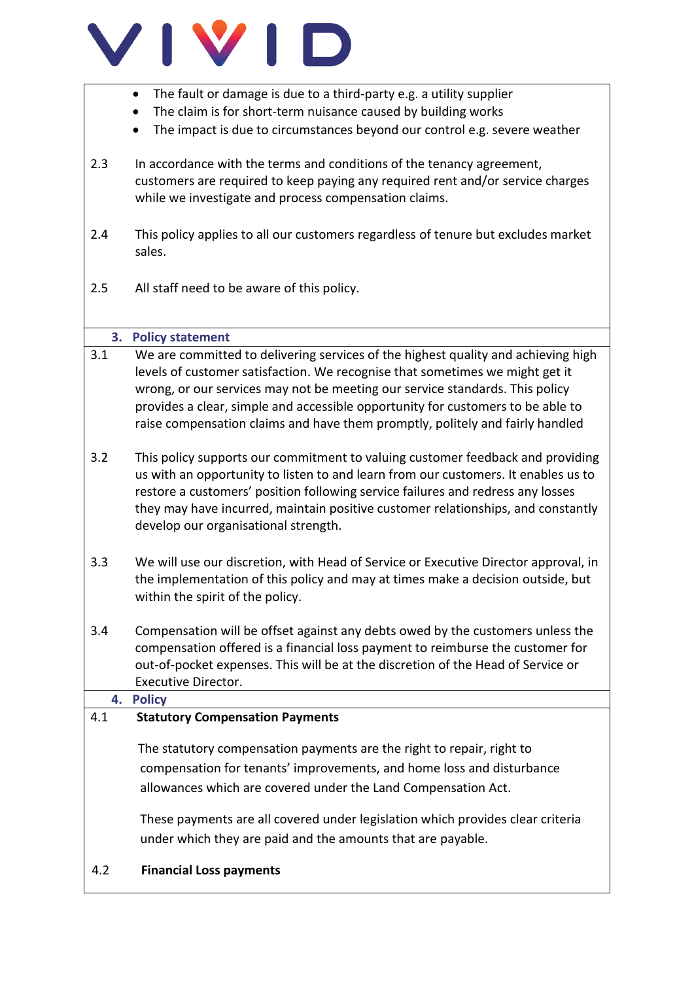

- The fault or damage is due to a third-party e.g. a utility supplier
- The claim is for short-term nuisance caused by building works
- The impact is due to circumstances beyond our control e.g. severe weather
- 2.3 In accordance with the terms and conditions of the tenancy agreement, customers are required to keep paying any required rent and/or service charges while we investigate and process compensation claims.
- 2.4 This policy applies to all our customers regardless of tenure but excludes market sales.
- 2.5 All staff need to be aware of this policy.

## **3. Policy statement**

- 3.1 We are committed to delivering services of the highest quality and achieving high levels of customer satisfaction. We recognise that sometimes we might get it wrong, or our services may not be meeting our service standards. This policy provides a clear, simple and accessible opportunity for customers to be able to raise compensation claims and have them promptly, politely and fairly handled
- 3.2 This policy supports our commitment to valuing customer feedback and providing us with an opportunity to listen to and learn from our customers. It enables us to restore a customers' position following service failures and redress any losses they may have incurred, maintain positive customer relationships, and constantly develop our organisational strength.
- 3.3 We will use our discretion, with Head of Service or Executive Director approval, in the implementation of this policy and may at times make a decision outside, but within the spirit of the policy.
- 3.4 Compensation will be offset against any debts owed by the customers unless the compensation offered is a financial loss payment to reimburse the customer for out-of-pocket expenses. This will be at the discretion of the Head of Service or Executive Director.

## **4. Policy**

## 4.1 **Statutory Compensation Payments**

 The statutory compensation payments are the right to repair, right to compensation for tenants' improvements, and home loss and disturbance allowances which are covered under the Land Compensation Act.

These payments are all covered under legislation which provides clear criteria under which they are paid and the amounts that are payable.

## 4.2 **Financial Loss payments**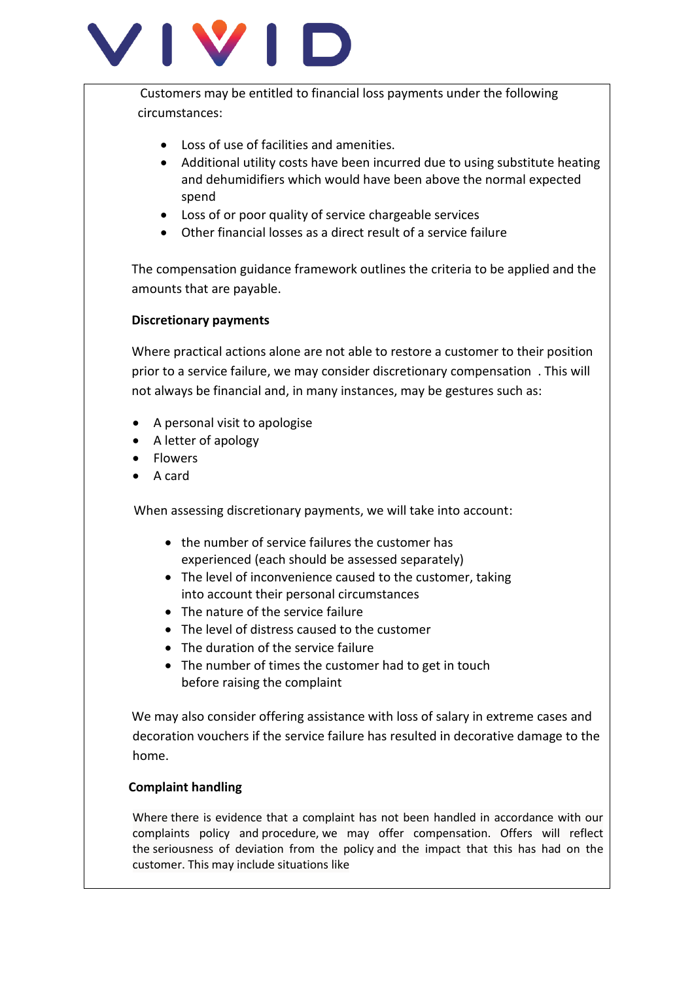

Customers may be entitled to financial loss payments under the following circumstances:

- Loss of use of facilities and amenities.
- Additional utility costs have been incurred due to using substitute heating and dehumidifiers which would have been above the normal expected spend
- Loss of or poor quality of service chargeable services
- Other financial losses as a direct result of a service failure

The compensation guidance framework outlines the criteria to be applied and the amounts that are payable.

## **Discretionary payments**

Where practical actions alone are not able to restore a customer to their position prior to a service failure, we may consider discretionary compensation . This will not always be financial and, in many instances, may be gestures such as:

- A personal visit to apologise
- A letter of apology
- Flowers
- A card

When assessing discretionary payments, we will take into account:

- the number of service failures the customer has experienced (each should be assessed separately)
- The level of inconvenience caused to the customer, taking into account their personal circumstances
- The nature of the service failure
- The level of distress caused to the customer
- The duration of the service failure
- The number of times the customer had to get in touch before raising the complaint

 We may also consider offering assistance with loss of salary in extreme cases and decoration vouchers if the service failure has resulted in decorative damage to the home.

## **Complaint handling**

Where there is evidence that a complaint has not been handled in accordance with our complaints policy and procedure, we may offer compensation. Offers will reflect the seriousness of deviation from the policy and the impact that this has had on the customer. This may include situations like